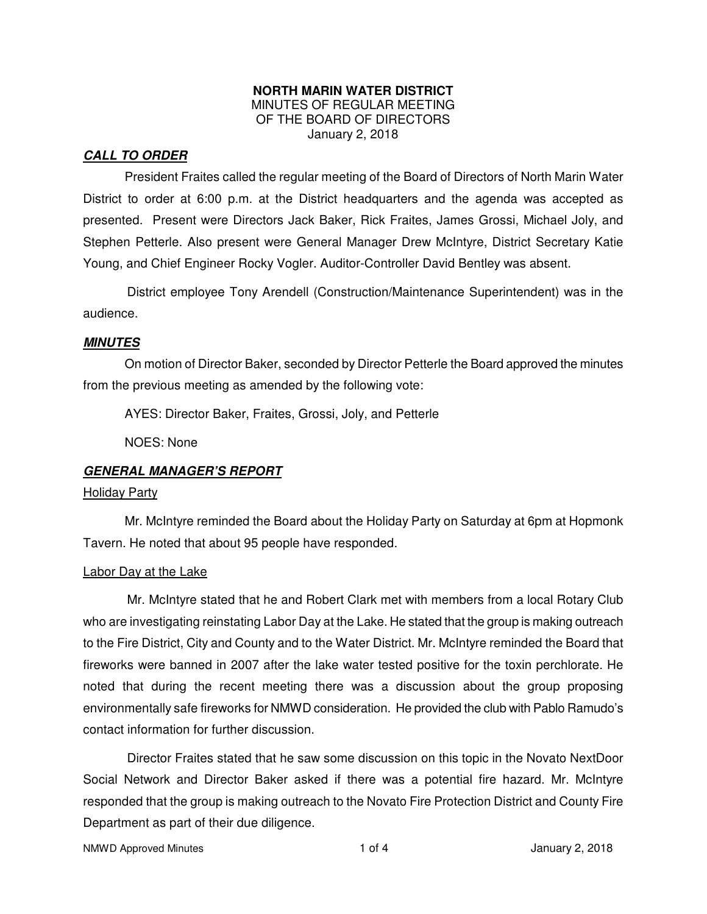#### **NORTH MARIN WATER DISTRICT**  MINUTES OF REGULAR MEETING OF THE BOARD OF DIRECTORS January 2, 2018

## **CALL TO ORDER**

President Fraites called the regular meeting of the Board of Directors of North Marin Water District to order at 6:00 p.m. at the District headquarters and the agenda was accepted as presented. Present were Directors Jack Baker, Rick Fraites, James Grossi, Michael Joly, and Stephen Petterle. Also present were General Manager Drew McIntyre, District Secretary Katie Young, and Chief Engineer Rocky Vogler. Auditor-Controller David Bentley was absent.

District employee Tony Arendell (Construction/Maintenance Superintendent) was in the audience.

#### **MINUTES**

 On motion of Director Baker, seconded by Director Petterle the Board approved the minutes from the previous meeting as amended by the following vote:

AYES: Director Baker, Fraites, Grossi, Joly, and Petterle

NOES: None

## **GENERAL MANAGER'S REPORT**

#### Holiday Party

 Mr. McIntyre reminded the Board about the Holiday Party on Saturday at 6pm at Hopmonk Tavern. He noted that about 95 people have responded.

#### Labor Day at the Lake

Mr. McIntyre stated that he and Robert Clark met with members from a local Rotary Club who are investigating reinstating Labor Day at the Lake. He stated that the group is making outreach to the Fire District, City and County and to the Water District. Mr. McIntyre reminded the Board that fireworks were banned in 2007 after the lake water tested positive for the toxin perchlorate. He noted that during the recent meeting there was a discussion about the group proposing environmentally safe fireworks for NMWD consideration. He provided the club with Pablo Ramudo's contact information for further discussion.

Director Fraites stated that he saw some discussion on this topic in the Novato NextDoor Social Network and Director Baker asked if there was a potential fire hazard. Mr. McIntyre responded that the group is making outreach to the Novato Fire Protection District and County Fire Department as part of their due diligence.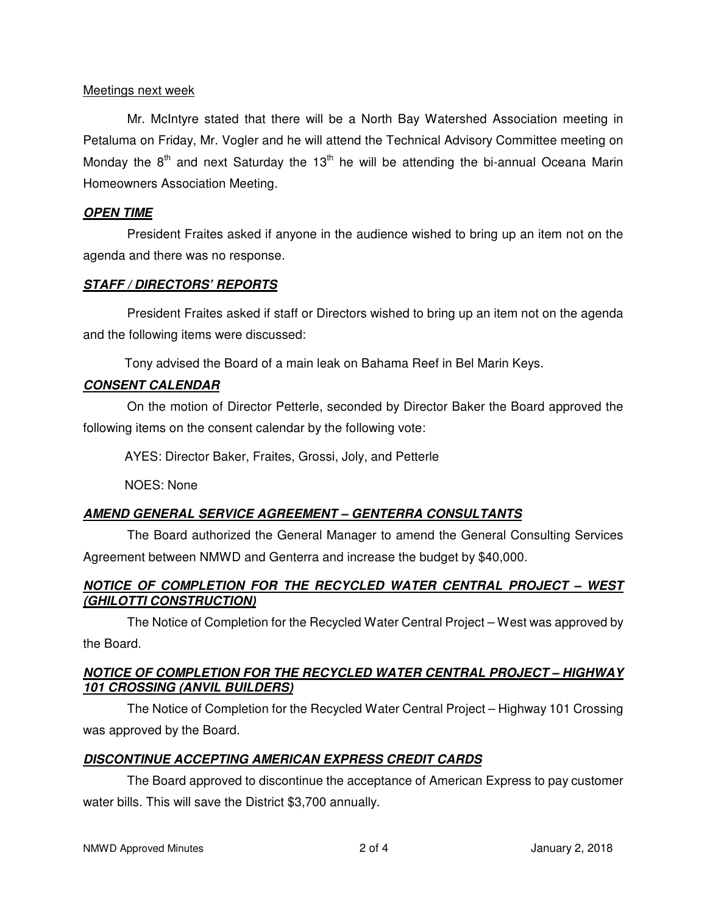### Meetings next week

Mr. McIntyre stated that there will be a North Bay Watershed Association meeting in Petaluma on Friday, Mr. Vogler and he will attend the Technical Advisory Committee meeting on Monday the  $8<sup>th</sup>$  and next Saturday the 13<sup>th</sup> he will be attending the bi-annual Oceana Marin Homeowners Association Meeting.

## **OPEN TIME**

President Fraites asked if anyone in the audience wished to bring up an item not on the agenda and there was no response.

## **STAFF / DIRECTORS' REPORTS**

President Fraites asked if staff or Directors wished to bring up an item not on the agenda and the following items were discussed:

Tony advised the Board of a main leak on Bahama Reef in Bel Marin Keys.

# **CONSENT CALENDAR**

On the motion of Director Petterle, seconded by Director Baker the Board approved the following items on the consent calendar by the following vote:

AYES: Director Baker, Fraites, Grossi, Joly, and Petterle

NOES: None

# **AMEND GENERAL SERVICE AGREEMENT – GENTERRA CONSULTANTS**

The Board authorized the General Manager to amend the General Consulting Services Agreement between NMWD and Genterra and increase the budget by \$40,000.

# **NOTICE OF COMPLETION FOR THE RECYCLED WATER CENTRAL PROJECT – WEST (GHILOTTI CONSTRUCTION)**

The Notice of Completion for the Recycled Water Central Project – West was approved by the Board.

## **NOTICE OF COMPLETION FOR THE RECYCLED WATER CENTRAL PROJECT – HIGHWAY 101 CROSSING (ANVIL BUILDERS)**

The Notice of Completion for the Recycled Water Central Project – Highway 101 Crossing was approved by the Board.

# **DISCONTINUE ACCEPTING AMERICAN EXPRESS CREDIT CARDS**

The Board approved to discontinue the acceptance of American Express to pay customer water bills. This will save the District \$3,700 annually.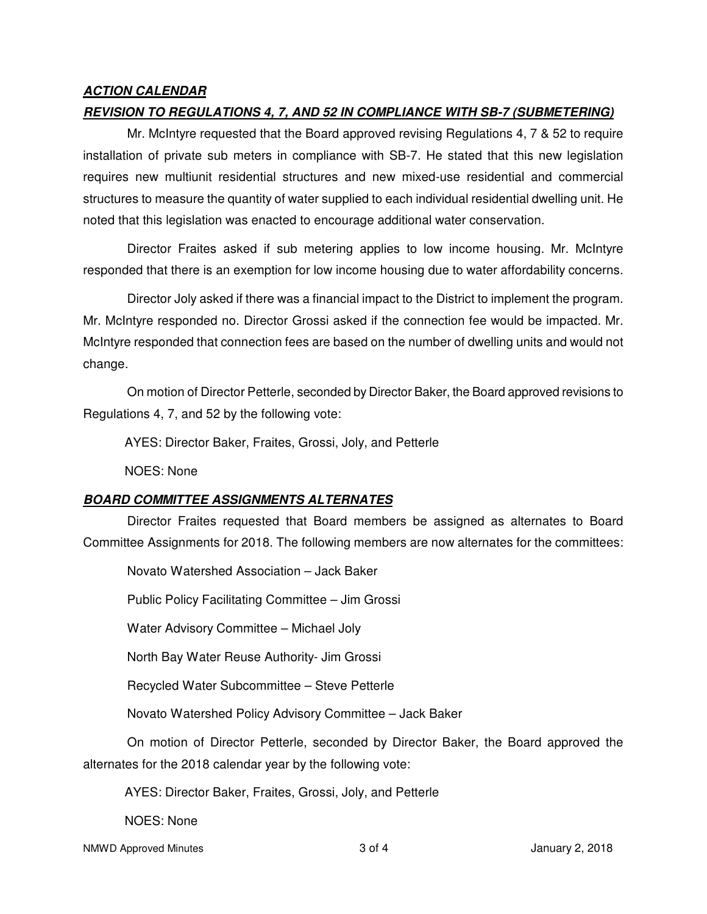## **ACTION CALENDAR**

## **REVISION TO REGULATIONS 4, 7, AND 52 IN COMPLIANCE WITH SB-7 (SUBMETERING)**

Mr. McIntyre requested that the Board approved revising Regulations 4, 7 & 52 to require installation of private sub meters in compliance with SB-7. He stated that this new legislation requires new multiunit residential structures and new mixed-use residential and commercial structures to measure the quantity of water supplied to each individual residential dwelling unit. He noted that this legislation was enacted to encourage additional water conservation.

Director Fraites asked if sub metering applies to low income housing. Mr. McIntyre responded that there is an exemption for low income housing due to water affordability concerns.

Director Joly asked if there was a financial impact to the District to implement the program. Mr. McIntyre responded no. Director Grossi asked if the connection fee would be impacted. Mr. McIntyre responded that connection fees are based on the number of dwelling units and would not change.

On motion of Director Petterle, seconded by Director Baker, the Board approved revisions to Regulations 4, 7, and 52 by the following vote:

AYES: Director Baker, Fraites, Grossi, Joly, and Petterle

NOES: None

# **BOARD COMMITTEE ASSIGNMENTS ALTERNATES**

Director Fraites requested that Board members be assigned as alternates to Board Committee Assignments for 2018. The following members are now alternates for the committees:

Novato Watershed Association – Jack Baker

Public Policy Facilitating Committee – Jim Grossi

Water Advisory Committee – Michael Joly

North Bay Water Reuse Authority- Jim Grossi

Recycled Water Subcommittee – Steve Petterle

Novato Watershed Policy Advisory Committee – Jack Baker

On motion of Director Petterle, seconded by Director Baker, the Board approved the alternates for the 2018 calendar year by the following vote:

AYES: Director Baker, Fraites, Grossi, Joly, and Petterle

NOES: None

NMWD Approved Minutes and the state of the state 3 of 4 3 of 4 January 2, 2018